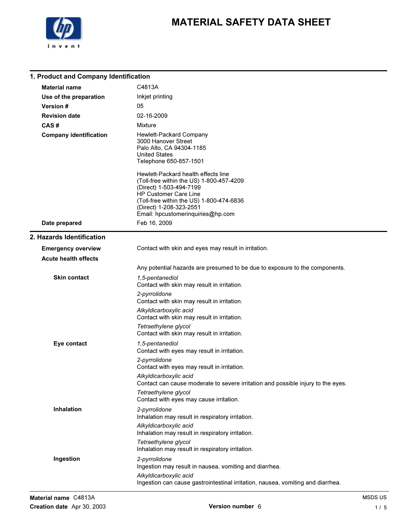

1. Product and Company Identification

## MATERIAL SAFETY DATA SHEET

#### Material name C4813A Use of the preparation Inkjet printing Version # 05 Revision date 02-16-2009 CAS # Mixture Company identification Hewlett-Packard Company 3000 Hanover Street Palo Alto, CA 94304-1185 United States Telephone 650-857-1501 Hewlett-Packard health effects line (Toll-free within the US) 1-800-457-4209 (Direct) 1-503-494-7199 HP Customer Care Line (Toll-free within the US) 1-800-474-6836 (Direct) 1-208-323-2551 Email: hpcustomerinquiries@hp.com Date prepared Feb 16, 2009 2. Hazards Identification Emergency overview Contact with skin and eyes may result in irritation. Acute health effects Any potential hazards are presumed to be due to exposure to the components. 1,5-pentanediol Contact with skin may result in irritation. 2-pyrrolidone Contact with skin may result in irritation. Alkyldicarboxylic acid Contact with skin may result in irritation. Tetraethylene glycol Contact with skin may result in irritation. Skin contact 1,5-pentanediol Contact with eyes may result in irritation. 2-pyrrolidone Contact with eyes may result in irritation. Alkyldicarboxylic acid Contact can cause moderate to severe irritation and possible injury to the eyes. Tetraethylene glycol Contact with eyes may cause irritation. Eye contact 2-pyrrolidone Inhalation may result in respiratory irritation. Alkyldicarboxylic acid Inhalation may result in respiratory irritation. Tetraethylene glycol Inhalation may result in respiratory irritation. Inhalation 2-pyrrolidone Ingestion may result in nausea, vomiting and diarrhea. Ingestion

Ingestion can cause gastrointestinal irritation, nausea, vomiting and diarrhea.

Alkyldicarboxylic acid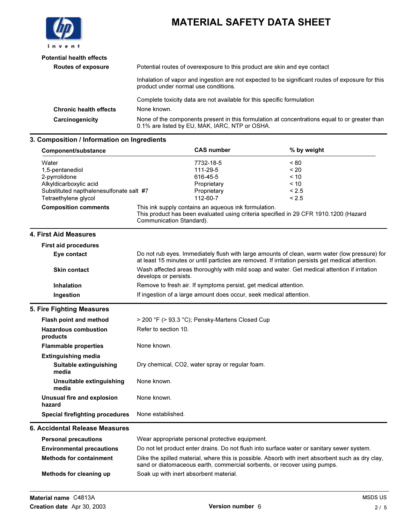

| <b>Potential health effects</b> |                                                                                                                                                 |
|---------------------------------|-------------------------------------------------------------------------------------------------------------------------------------------------|
| <b>Routes of exposure</b>       | Potential routes of overexposure to this product are skin and eye contact                                                                       |
|                                 | Inhalation of vapor and ingestion are not expected to be significant routes of exposure for this<br>product under normal use conditions.        |
|                                 | Complete toxicity data are not available for this specific formulation                                                                          |
| <b>Chronic health effects</b>   | None known.                                                                                                                                     |
| Carcinogenicity                 | None of the components present in this formulation at concentrations equal to or greater than<br>0.1% are listed by EU, MAK, IARC, NTP or OSHA. |

### 3. Composition / Information on Ingredients

| Component/substance                                                                                                                    | <b>CAS number</b>                                                                                                                                                                                  | % by weight                                   |
|----------------------------------------------------------------------------------------------------------------------------------------|----------------------------------------------------------------------------------------------------------------------------------------------------------------------------------------------------|-----------------------------------------------|
| Water<br>1,5-pentanediol<br>2-pyrrolidone<br>Alkyldicarboxylic acid<br>Substituted napthalenesulfonate salt #7<br>Tetraethylene glycol | 7732-18-5<br>111-29-5<br>616-45-5<br>Proprietary<br>Proprietary<br>112-60-7                                                                                                                        | ~< 80<br>~120<br>~10<br>~10<br>< 2.5<br>< 2.5 |
| <b>Composition comments</b>                                                                                                            | This ink supply contains an aqueous ink formulation.<br>This product has been evaluated using criteria specified in 29 CFR 1910.1200 (Hazard<br>Communication Standard).                           |                                               |
| 4. First Aid Measures                                                                                                                  |                                                                                                                                                                                                    |                                               |
| <b>First aid procedures</b>                                                                                                            |                                                                                                                                                                                                    |                                               |
| Eye contact                                                                                                                            | Do not rub eyes. Immediately flush with large amounts of clean, warm water (low pressure) for<br>at least 15 minutes or until particles are removed. If irritation persists get medical attention. |                                               |
| <b>Skin contact</b>                                                                                                                    | Wash affected areas thoroughly with mild soap and water. Get medical attention if irritation<br>develops or persists.                                                                              |                                               |
| <b>Inhalation</b>                                                                                                                      | Remove to fresh air. If symptoms persist, get medical attention.                                                                                                                                   |                                               |
| Ingestion                                                                                                                              | If ingestion of a large amount does occur, seek medical attention.                                                                                                                                 |                                               |
| 5. Fire Fighting Measures                                                                                                              |                                                                                                                                                                                                    |                                               |
| Flash point and method                                                                                                                 | > 200 °F (> 93.3 °C); Pensky-Martens Closed Cup                                                                                                                                                    |                                               |
| <b>Hazardous combustion</b><br>products                                                                                                | Refer to section 10.                                                                                                                                                                               |                                               |
| <b>Flammable properties</b>                                                                                                            | None known.                                                                                                                                                                                        |                                               |
| <b>Extinguishing media</b><br>Suitable extinguishing<br>media                                                                          | Dry chemical, CO2, water spray or regular foam.                                                                                                                                                    |                                               |
| Unsuitable extinguishing<br>media                                                                                                      | None known.                                                                                                                                                                                        |                                               |
| <b>Unusual fire and explosion</b><br>hazard                                                                                            | None known.                                                                                                                                                                                        |                                               |
| <b>Special firefighting procedures</b>                                                                                                 | None established.                                                                                                                                                                                  |                                               |
| 6. Accidental Release Measures                                                                                                         |                                                                                                                                                                                                    |                                               |
| <b>Personal precautions</b>                                                                                                            | Wear appropriate personal protective equipment.                                                                                                                                                    |                                               |
| <b>Environmental precautions</b>                                                                                                       | Do not let product enter drains. Do not flush into surface water or sanitary sewer system.                                                                                                         |                                               |
| <b>Methods for containment</b>                                                                                                         | Dike the spilled material, where this is possible. Absorb with inert absorbent such as dry clay,<br>sand or diatomaceous earth, commercial sorbents, or recover using pumps.                       |                                               |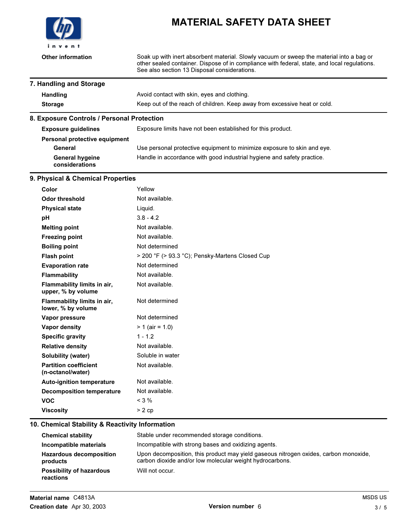

Other information Soak up with inert absorbent material. Slowly vacuum or sweep the material into a bag or other sealed container. Dispose of in compliance with federal, state, and local regulations. See also section 13 Disposal considerations.

#### 7. Handling and Storage

| <b>Handling</b> | Avoid contact with skin, eyes and clothing.                               |
|-----------------|---------------------------------------------------------------------------|
| Storage         | Keep out of the reach of children. Keep away from excessive heat or cold. |

#### 8. Exposure Controls / Personal Protection

| <b>Exposure quidelines</b>               | Exposure limits have not been established for this product.             |
|------------------------------------------|-------------------------------------------------------------------------|
| Personal protective equipment            |                                                                         |
| General                                  | Use personal protective equipment to minimize exposure to skin and eye. |
| <b>General hygeine</b><br>considerations | Handle in accordance with good industrial hygiene and safety practice.  |

#### 9. Physical & Chemical Properties

| Color                                             | Yellow                                          |
|---------------------------------------------------|-------------------------------------------------|
| <b>Odor threshold</b>                             | Not available.                                  |
| <b>Physical state</b>                             | Liquid.                                         |
| рH                                                | $3.8 - 4.2$                                     |
| <b>Melting point</b>                              | Not available.                                  |
| <b>Freezing point</b>                             | Not available.                                  |
| <b>Boiling point</b>                              | Not determined                                  |
| <b>Flash point</b>                                | > 200 °F (> 93.3 °C); Pensky-Martens Closed Cup |
| <b>Evaporation rate</b>                           | Not determined                                  |
| <b>Flammability</b>                               | Not available.                                  |
| Flammability limits in air,<br>upper, % by volume | Not available.                                  |
| Flammability limits in air,<br>lower, % by volume | Not determined                                  |
| Vapor pressure                                    | Not determined                                  |
| Vapor density                                     | $> 1$ (air = 1.0)                               |
| <b>Specific gravity</b>                           | $1 - 1.2$                                       |
| <b>Relative density</b>                           | Not available.                                  |
| Solubility (water)                                | Soluble in water                                |
| <b>Partition coefficient</b><br>(n-octanol/water) | Not available.                                  |
| <b>Auto-ignition temperature</b>                  | Not available.                                  |
| <b>Decomposition temperature</b>                  | Not available.                                  |
| <b>VOC</b>                                        | $<$ 3 %                                         |
| <b>Viscosity</b>                                  | $> 2$ cp                                        |

#### 10. Chemical Stability & Reactivity Information

| <b>Chemical stability</b>                    | Stable under recommended storage conditions.                                                                                                     |
|----------------------------------------------|--------------------------------------------------------------------------------------------------------------------------------------------------|
| Incompatible materials                       | Incompatible with strong bases and oxidizing agents.                                                                                             |
| <b>Hazardous decomposition</b><br>products   | Upon decomposition, this product may yield gaseous nitrogen oxides, carbon monoxide,<br>carbon dioxide and/or low molecular weight hydrocarbons. |
| <b>Possibility of hazardous</b><br>reactions | Will not occur.                                                                                                                                  |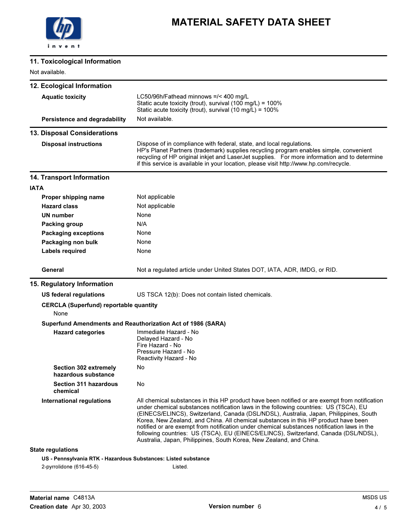

### 11. Toxicological Information

Not available.

| <b>IVOL available.</b>                                         |                                                                                                                                                                                                                                                                                                                                                                                                                                                                                                                                                                                                                                     |
|----------------------------------------------------------------|-------------------------------------------------------------------------------------------------------------------------------------------------------------------------------------------------------------------------------------------------------------------------------------------------------------------------------------------------------------------------------------------------------------------------------------------------------------------------------------------------------------------------------------------------------------------------------------------------------------------------------------|
| 12. Ecological Information                                     |                                                                                                                                                                                                                                                                                                                                                                                                                                                                                                                                                                                                                                     |
| <b>Aquatic toxicity</b>                                        | LC50/96h/Fathead minnows =/< 400 mg/L<br>Static acute toxicity (trout), survival (100 mg/L) = 100%<br>Static acute toxicity (trout), survival (10 mg/L) = 100%                                                                                                                                                                                                                                                                                                                                                                                                                                                                      |
| Persistence and degradability                                  | Not available.                                                                                                                                                                                                                                                                                                                                                                                                                                                                                                                                                                                                                      |
| 13. Disposal Considerations                                    |                                                                                                                                                                                                                                                                                                                                                                                                                                                                                                                                                                                                                                     |
| <b>Disposal instructions</b>                                   | Dispose of in compliance with federal, state, and local regulations.<br>HP's Planet Partners (trademark) supplies recycling program enables simple, convenient<br>recycling of HP original inkjet and LaserJet supplies. For more information and to determine<br>if this service is available in your location, please visit http://www.hp.com/recycle.                                                                                                                                                                                                                                                                            |
| 14. Transport Information                                      |                                                                                                                                                                                                                                                                                                                                                                                                                                                                                                                                                                                                                                     |
| <b>IATA</b>                                                    |                                                                                                                                                                                                                                                                                                                                                                                                                                                                                                                                                                                                                                     |
| Proper shipping name                                           | Not applicable                                                                                                                                                                                                                                                                                                                                                                                                                                                                                                                                                                                                                      |
| <b>Hazard class</b>                                            | Not applicable                                                                                                                                                                                                                                                                                                                                                                                                                                                                                                                                                                                                                      |
| UN number                                                      | None                                                                                                                                                                                                                                                                                                                                                                                                                                                                                                                                                                                                                                |
| <b>Packing group</b>                                           | N/A                                                                                                                                                                                                                                                                                                                                                                                                                                                                                                                                                                                                                                 |
| <b>Packaging exceptions</b>                                    | None                                                                                                                                                                                                                                                                                                                                                                                                                                                                                                                                                                                                                                |
| Packaging non bulk                                             | None                                                                                                                                                                                                                                                                                                                                                                                                                                                                                                                                                                                                                                |
| Labels required                                                | None                                                                                                                                                                                                                                                                                                                                                                                                                                                                                                                                                                                                                                |
| General                                                        | Not a regulated article under United States DOT, IATA, ADR, IMDG, or RID.                                                                                                                                                                                                                                                                                                                                                                                                                                                                                                                                                           |
| 15. Regulatory Information                                     |                                                                                                                                                                                                                                                                                                                                                                                                                                                                                                                                                                                                                                     |
| US federal regulations                                         | US TSCA 12(b): Does not contain listed chemicals.                                                                                                                                                                                                                                                                                                                                                                                                                                                                                                                                                                                   |
| <b>CERCLA (Superfund) reportable quantity</b><br>None          |                                                                                                                                                                                                                                                                                                                                                                                                                                                                                                                                                                                                                                     |
|                                                                | Superfund Amendments and Reauthorization Act of 1986 (SARA)                                                                                                                                                                                                                                                                                                                                                                                                                                                                                                                                                                         |
| <b>Hazard categories</b>                                       | Immediate Hazard - No<br>Delayed Hazard - No<br>Fire Hazard - No<br>Pressure Hazard - No<br>Reactivity Hazard - No                                                                                                                                                                                                                                                                                                                                                                                                                                                                                                                  |
| <b>Section 302 extremely</b><br>hazardous substance            | No                                                                                                                                                                                                                                                                                                                                                                                                                                                                                                                                                                                                                                  |
| <b>Section 311 hazardous</b><br>chemical                       | No                                                                                                                                                                                                                                                                                                                                                                                                                                                                                                                                                                                                                                  |
| <b>International regulations</b>                               | All chemical substances in this HP product have been notified or are exempt from notification<br>under chemical substances notification laws in the following countries: US (TSCA), EU<br>(EINECS/ELINCS), Switzerland, Canada (DSL/NDSL), Australia, Japan, Philippines, South<br>Korea, New Zealand, and China. All chemical substances in this HP product have been<br>notified or are exempt from notification under chemical substances notification laws in the<br>following countries: US (TSCA), EU (EINECS/ELINCS), Switzerland, Canada (DSL/NDSL),<br>Australia, Japan, Philippines, South Korea, New Zealand, and China. |
| <b>State regulations</b>                                       |                                                                                                                                                                                                                                                                                                                                                                                                                                                                                                                                                                                                                                     |
| US - Pennsylvania RTK - Hazardous Substances: Listed substance |                                                                                                                                                                                                                                                                                                                                                                                                                                                                                                                                                                                                                                     |
| 2-pyrrolidone (616-45-5)                                       | Listed.                                                                                                                                                                                                                                                                                                                                                                                                                                                                                                                                                                                                                             |